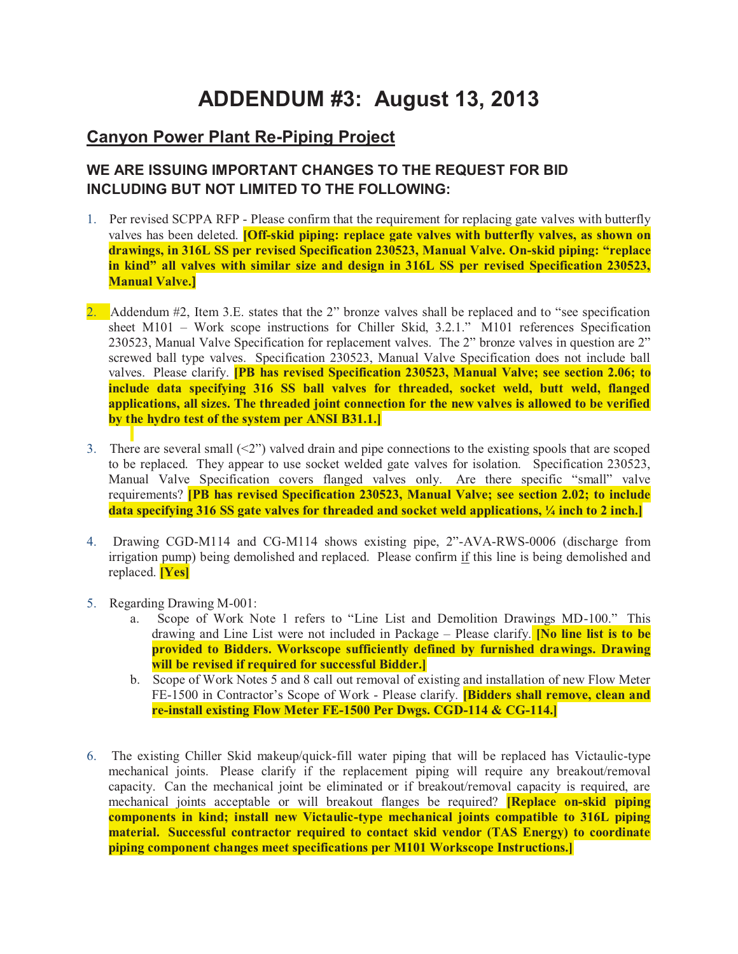## **ADDENDUM #3: August 13, 2013**

## **Canyon Power Plant Re-Piping Project**

## **WE ARE ISSUING IMPORTANT CHANGES TO THE REQUEST FOR BID INCLUDING BUT NOT LIMITED TO THE FOLLOWING:**

- 1. Per revised SCPPA RFP Please confirm that the requirement for replacing gate valves with butterfly valves has been deleted. **[Off-skid piping: replace gate valves with butterfly valves, as shown on drawings, in 316L SS per revised Specification 230523, Manual Valve. On-skid piping: "replace in kind" all valves with similar size and design in 316L SS per revised Specification 230523, Manual Valve.]**
- 2. Addendum  $\#2$ , Item 3.E. states that the 2" bronze valves shall be replaced and to "see specification" sheet M101 – Work scope instructions for Chiller Skid, 3.2.1." M101 references Specification 230523, Manual Valve Specification for replacement valves. The 2" bronze valves in question are 2" screwed ball type valves. Specification 230523, Manual Valve Specification does not include ball valves. Please clarify. **[PB has revised Specification 230523, Manual Valve; see section 2.06; to include data specifying 316 SS ball valves for threaded, socket weld, butt weld, flanged applications, all sizes. The threaded joint connection for the new valves is allowed to be verified by the hydro test of the system per ANSI B31.1.]**
- 3. There are several small  $\langle 2 \rangle$  valved drain and pipe connections to the existing spools that are scoped to be replaced. They appear to use socket welded gate valves for isolation. Specification 230523, Manual Valve Specification covers flanged valves only. Are there specific "small" valve requirements? **[PB has revised Specification 230523, Manual Valve; see section 2.02; to include data specifying 316 SS gate valves for threaded and socket weld applications, ¼ inch to 2 inch.]**
- 4. Drawing CGD-M114 and CG-M114 shows existing pipe, 2"-AVA-RWS-0006 (discharge from irrigation pump) being demolished and replaced. Please confirm if this line is being demolished and replaced. **[Yes]**
- 5. Regarding Drawing M-001:
	- a. Scope of Work Note 1 refers to "Line List and Demolition Drawings MD-100." This drawing and Line List were not included in Package – Please clarify. **[No line list is to be provided to Bidders. Workscope sufficiently defined by furnished drawings. Drawing will be revised if required for successful Bidder.]**
	- b. Scope of Work Notes 5 and 8 call out removal of existing and installation of new Flow Meter FE-1500 in Contractor's Scope of Work - Please clarify. **[Bidders shall remove, clean and re-install existing Flow Meter FE-1500 Per Dwgs. CGD-114 & CG-114.]**
- 6. The existing Chiller Skid makeup/quick-fill water piping that will be replaced has Victaulic-type mechanical joints. Please clarify if the replacement piping will require any breakout/removal capacity. Can the mechanical joint be eliminated or if breakout/removal capacity is required, are mechanical joints acceptable or will breakout flanges be required? **[Replace on-skid piping components in kind; install new Victaulic-type mechanical joints compatible to 316L piping material. Successful contractor required to contact skid vendor (TAS Energy) to coordinate piping component changes meet specifications per M101 Workscope Instructions.]**